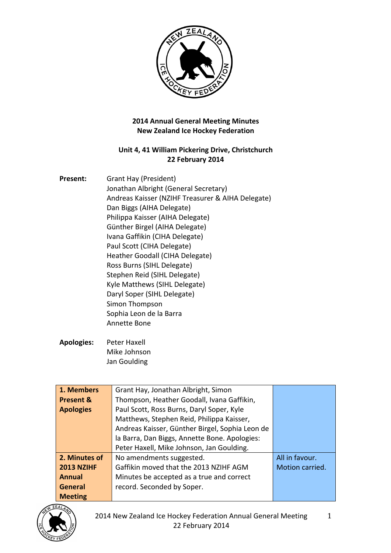

## **2014 Annual General Meeting Minutes New Zealand Ice Hockey Federation**

## Unit 4, 41 William Pickering Drive, Christchurch **22 February 2014**

| <b>Present:</b> | Grant Hay (President)                             |
|-----------------|---------------------------------------------------|
|                 | Jonathan Albright (General Secretary)             |
|                 | Andreas Kaisser (NZIHF Treasurer & AIHA Delegate) |
|                 | Dan Biggs (AIHA Delegate)                         |
|                 | Philippa Kaisser (AIHA Delegate)                  |
|                 | Günther Birgel (AIHA Delegate)                    |
|                 | Ivana Gaffikin (CIHA Delegate)                    |
|                 | Paul Scott (CIHA Delegate)                        |
|                 | Heather Goodall (CIHA Delegate)                   |
|                 | Ross Burns (SIHL Delegate)                        |
|                 | Stephen Reid (SIHL Delegate)                      |
|                 | Kyle Matthews (SIHL Delegate)                     |
|                 | Daryl Soper (SIHL Delegate)                       |
|                 | Simon Thompson                                    |
|                 | Sophia Leon de la Barra                           |
|                 | Annette Bone                                      |
|                 |                                                   |

Apologies: Peter Haxell Mike Johnson Jan Goulding

| 1. Members           | Grant Hay, Jonathan Albright, Simon             |                 |
|----------------------|-------------------------------------------------|-----------------|
|                      |                                                 |                 |
| <b>Present &amp;</b> | Thompson, Heather Goodall, Ivana Gaffikin,      |                 |
| <b>Apologies</b>     | Paul Scott, Ross Burns, Daryl Soper, Kyle       |                 |
|                      | Matthews, Stephen Reid, Philippa Kaisser,       |                 |
|                      | Andreas Kaisser, Günther Birgel, Sophia Leon de |                 |
|                      | la Barra, Dan Biggs, Annette Bone. Apologies:   |                 |
|                      | Peter Haxell, Mike Johnson, Jan Goulding.       |                 |
| 2. Minutes of        | No amendments suggested.                        | All in favour.  |
| <b>2013 NZIHF</b>    | Gaffikin moved that the 2013 NZIHF AGM          | Motion carried. |
| <b>Annual</b>        | Minutes be accepted as a true and correct       |                 |
| General              | record. Seconded by Soper.                      |                 |
| <b>Meeting</b>       |                                                 |                 |

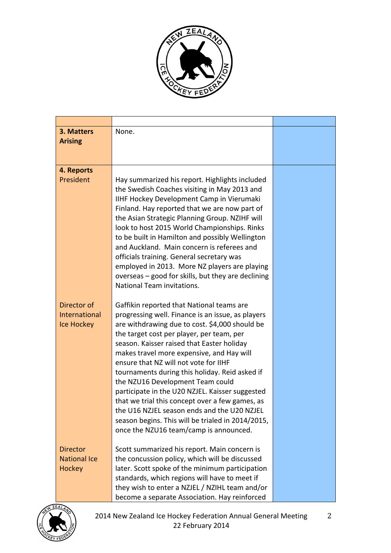

| 3. Matters                             | None.                                                                                          |  |
|----------------------------------------|------------------------------------------------------------------------------------------------|--|
| <b>Arising</b>                         |                                                                                                |  |
|                                        |                                                                                                |  |
|                                        |                                                                                                |  |
| 4. Reports                             |                                                                                                |  |
| President                              | Hay summarized his report. Highlights included                                                 |  |
|                                        | the Swedish Coaches visiting in May 2013 and<br>IIHF Hockey Development Camp in Vierumaki      |  |
|                                        | Finland. Hay reported that we are now part of                                                  |  |
|                                        | the Asian Strategic Planning Group. NZIHF will                                                 |  |
|                                        | look to host 2015 World Championships. Rinks                                                   |  |
|                                        | to be built in Hamilton and possibly Wellington                                                |  |
|                                        | and Auckland. Main concern is referees and                                                     |  |
|                                        | officials training. General secretary was                                                      |  |
|                                        | employed in 2013. More NZ players are playing                                                  |  |
|                                        | overseas - good for skills, but they are declining                                             |  |
|                                        | National Team invitations.                                                                     |  |
|                                        |                                                                                                |  |
| Director of                            | Gaffikin reported that National teams are                                                      |  |
| International                          | progressing well. Finance is an issue, as players                                              |  |
| Ice Hockey                             | are withdrawing due to cost. \$4,000 should be                                                 |  |
|                                        | the target cost per player, per team, per<br>season. Kaisser raised that Easter holiday        |  |
|                                        | makes travel more expensive, and Hay will                                                      |  |
|                                        | ensure that NZ will not vote for IIHF                                                          |  |
|                                        | tournaments during this holiday. Reid asked if                                                 |  |
|                                        | the NZU16 Development Team could                                                               |  |
|                                        | participate in the U20 NZJEL. Kaisser suggested                                                |  |
|                                        | that we trial this concept over a few games, as                                                |  |
|                                        | the U16 NZJEL season ends and the U20 NZJEL                                                    |  |
|                                        | season begins. This will be trialed in 2014/2015,                                              |  |
|                                        | once the NZU16 team/camp is announced.                                                         |  |
|                                        |                                                                                                |  |
| <b>Director</b><br><b>National Ice</b> | Scott summarized his report. Main concern is<br>the concussion policy, which will be discussed |  |
| <b>Hockey</b>                          | later. Scott spoke of the minimum participation                                                |  |
|                                        | standards, which regions will have to meet if                                                  |  |
|                                        | they wish to enter a NZJEL / NZIHL team and/or                                                 |  |
|                                        | become a separate Association. Hay reinforced                                                  |  |

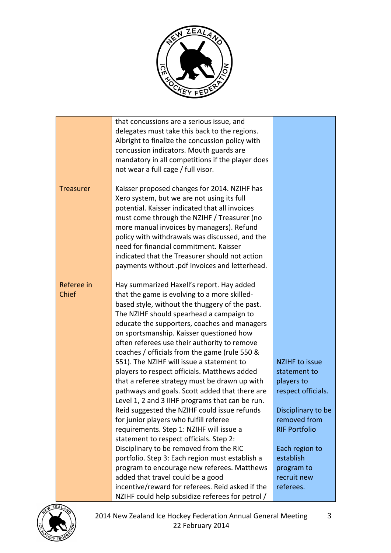

|                  | that concussions are a serious issue, and        |                       |
|------------------|--------------------------------------------------|-----------------------|
|                  | delegates must take this back to the regions.    |                       |
|                  | Albright to finalize the concussion policy with  |                       |
|                  | concussion indicators. Mouth guards are          |                       |
|                  | mandatory in all competitions if the player does |                       |
|                  | not wear a full cage / full visor.               |                       |
|                  |                                                  |                       |
| <b>Treasurer</b> | Kaisser proposed changes for 2014. NZIHF has     |                       |
|                  | Xero system, but we are not using its full       |                       |
|                  | potential. Kaisser indicated that all invoices   |                       |
|                  | must come through the NZIHF / Treasurer (no      |                       |
|                  | more manual invoices by managers). Refund        |                       |
|                  | policy with withdrawals was discussed, and the   |                       |
|                  | need for financial commitment. Kaisser           |                       |
|                  | indicated that the Treasurer should not action   |                       |
|                  | payments without .pdf invoices and letterhead.   |                       |
|                  |                                                  |                       |
| Referee in       | Hay summarized Haxell's report. Hay added        |                       |
| Chief            | that the game is evolving to a more skilled-     |                       |
|                  | based style, without the thuggery of the past.   |                       |
|                  | The NZIHF should spearhead a campaign to         |                       |
|                  | educate the supporters, coaches and managers     |                       |
|                  | on sportsmanship. Kaisser questioned how         |                       |
|                  | often referees use their authority to remove     |                       |
|                  | coaches / officials from the game (rule 550 &    |                       |
|                  | 551). The NZIHF will issue a statement to        | <b>NZIHF to issue</b> |
|                  | players to respect officials. Matthews added     | statement to          |
|                  | that a referee strategy must be drawn up with    | players to            |
|                  | pathways and goals. Scott added that there are   | respect officials.    |
|                  | Level 1, 2 and 3 IIHF programs that can be run.  |                       |
|                  | Reid suggested the NZIHF could issue refunds     | Disciplinary to be    |
|                  | for junior players who fulfill referee           | removed from          |
|                  | requirements. Step 1: NZIHF will issue a         | <b>RIF Portfolio</b>  |
|                  | statement to respect officials. Step 2:          |                       |
|                  | Disciplinary to be removed from the RIC          | Each region to        |
|                  | portfolio. Step 3: Each region must establish a  | establish             |
|                  | program to encourage new referees. Matthews      | program to            |
|                  | added that travel could be a good                | recruit new           |
|                  | incentive/reward for referees. Reid asked if the | referees.             |
|                  |                                                  |                       |
|                  | NZIHF could help subsidize referees for petrol / |                       |

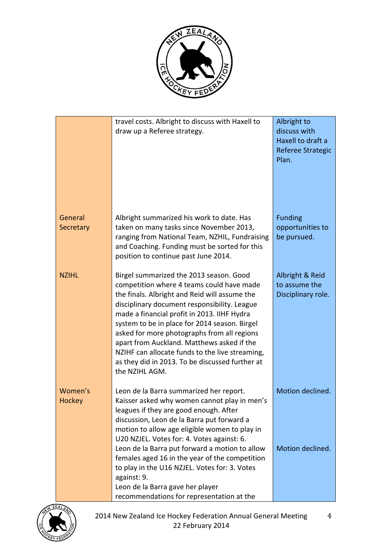

|                      | travel costs. Albright to discuss with Haxell to<br>draw up a Referee strategy.                                                                                                                                                                                                                                                                                                                                                                                                                            | Albright to<br>discuss with<br>Haxell to draft a<br>Referee Strategic<br>Plan. |
|----------------------|------------------------------------------------------------------------------------------------------------------------------------------------------------------------------------------------------------------------------------------------------------------------------------------------------------------------------------------------------------------------------------------------------------------------------------------------------------------------------------------------------------|--------------------------------------------------------------------------------|
| General<br>Secretary | Albright summarized his work to date. Has<br>taken on many tasks since November 2013,<br>ranging from National Team, NZHIL, Fundraising<br>and Coaching. Funding must be sorted for this<br>position to continue past June 2014.                                                                                                                                                                                                                                                                           | <b>Funding</b><br>opportunities to<br>be pursued.                              |
| <b>NZIHL</b>         | Birgel summarized the 2013 season. Good<br>competition where 4 teams could have made<br>the finals. Albright and Reid will assume the<br>disciplinary document responsibility. League<br>made a financial profit in 2013. IIHF Hydra<br>system to be in place for 2014 season. Birgel<br>asked for more photographs from all regions<br>apart from Auckland. Matthews asked if the<br>NZIHF can allocate funds to the live streaming,<br>as they did in 2013. To be discussed further at<br>the NZIHL AGM. | Albright & Reid<br>to assume the<br>Disciplinary role.                         |
| Women's<br>Hockey    | Leon de la Barra summarized her report.<br>Kaisser asked why women cannot play in men's<br>leagues if they are good enough. After<br>discussion, Leon de la Barra put forward a<br>motion to allow age eligible women to play in<br>U20 NZJEL. Votes for: 4. Votes against: 6.                                                                                                                                                                                                                             | Motion declined.                                                               |
|                      | Leon de la Barra put forward a motion to allow<br>females aged 16 in the year of the competition<br>to play in the U16 NZJEL. Votes for: 3. Votes<br>against: 9.<br>Leon de la Barra gave her player<br>recommendations for representation at the                                                                                                                                                                                                                                                          | Motion declined.                                                               |

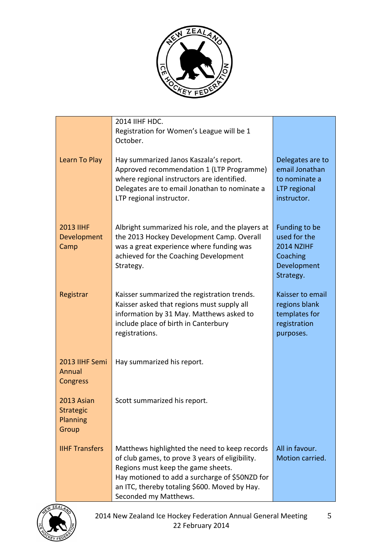

|                                              | 2014 IIHF HDC.<br>Registration for Women's League will be 1<br>October.                                                                                                                                                                                            |                                                                                     |
|----------------------------------------------|--------------------------------------------------------------------------------------------------------------------------------------------------------------------------------------------------------------------------------------------------------------------|-------------------------------------------------------------------------------------|
| Learn To Play                                | Hay summarized Janos Kaszala's report.<br>Approved recommendation 1 (LTP Programme)<br>where regional instructors are identified.<br>Delegates are to email Jonathan to nominate a<br>LTP regional instructor.                                                     | Delegates are to<br>email Jonathan<br>to nominate a<br>LTP regional<br>instructor.  |
| <b>2013 IIHF</b><br>Development<br>Camp      | Albright summarized his role, and the players at<br>the 2013 Hockey Development Camp. Overall<br>was a great experience where funding was<br>achieved for the Coaching Development<br>Strategy.                                                                    | Funding to be<br>used for the<br>2014 NZIHF<br>Coaching<br>Development<br>Strategy. |
| Registrar                                    | Kaisser summarized the registration trends.<br>Kaisser asked that regions must supply all<br>information by 31 May. Matthews asked to<br>include place of birth in Canterbury<br>registrations.                                                                    | Kaisser to email<br>regions blank<br>templates for<br>registration<br>purposes.     |
| 2013 IIHF Semi<br>Annual<br><b>Congress</b>  | Hay summarized his report.                                                                                                                                                                                                                                         |                                                                                     |
| 2013 Asian<br>Strategic<br>Planning<br>Group | Scott summarized his report.                                                                                                                                                                                                                                       |                                                                                     |
| <b>IIHF Transfers</b>                        | Matthews highlighted the need to keep records<br>of club games, to prove 3 years of eligibility.<br>Regions must keep the game sheets.<br>Hay motioned to add a surcharge of \$50NZD for<br>an ITC, thereby totaling \$600. Moved by Hay.<br>Seconded my Matthews. | All in favour.<br>Motion carried.                                                   |

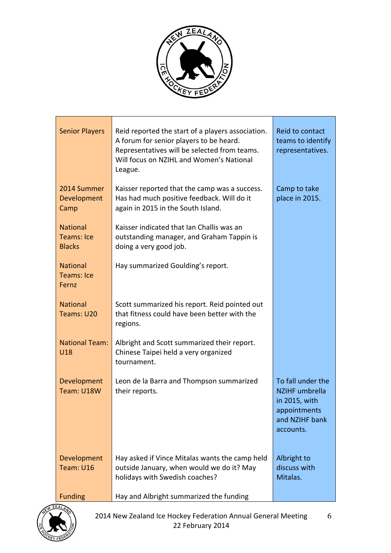

| <b>Senior Players</b>                          | Reid reported the start of a players association.<br>A forum for senior players to be heard.<br>Representatives will be selected from teams.<br>Will focus on NZIHL and Women's National<br>League. | Reid to contact<br>teams to identify<br>representatives.                                                   |
|------------------------------------------------|-----------------------------------------------------------------------------------------------------------------------------------------------------------------------------------------------------|------------------------------------------------------------------------------------------------------------|
| 2014 Summer<br>Development<br>Camp             | Kaisser reported that the camp was a success.<br>Has had much positive feedback. Will do it<br>again in 2015 in the South Island.                                                                   | Camp to take<br>place in 2015.                                                                             |
| <b>National</b><br>Teams: Ice<br><b>Blacks</b> | Kaisser indicated that Ian Challis was an<br>outstanding manager, and Graham Tappin is<br>doing a very good job.                                                                                    |                                                                                                            |
| <b>National</b><br><b>Teams: Ice</b><br>Fernz  | Hay summarized Goulding's report.                                                                                                                                                                   |                                                                                                            |
| <b>National</b><br>Teams: U20                  | Scott summarized his report. Reid pointed out<br>that fitness could have been better with the<br>regions.                                                                                           |                                                                                                            |
| <b>National Team:</b><br>U18                   | Albright and Scott summarized their report.<br>Chinese Taipei held a very organized<br>tournament.                                                                                                  |                                                                                                            |
| Development<br>Team: U18W                      | Leon de la Barra and Thompson summarized<br>their reports.                                                                                                                                          | To fall under the<br><b>NZIHF</b> umbrella<br>in 2015, with<br>appointments<br>and NZIHF bank<br>accounts. |
| Development<br>Team: U16                       | Hay asked if Vince Mitalas wants the camp held<br>outside January, when would we do it? May<br>holidays with Swedish coaches?                                                                       | Albright to<br>discuss with<br>Mitalas.                                                                    |
| <b>Funding</b>                                 | Hay and Albright summarized the funding                                                                                                                                                             |                                                                                                            |

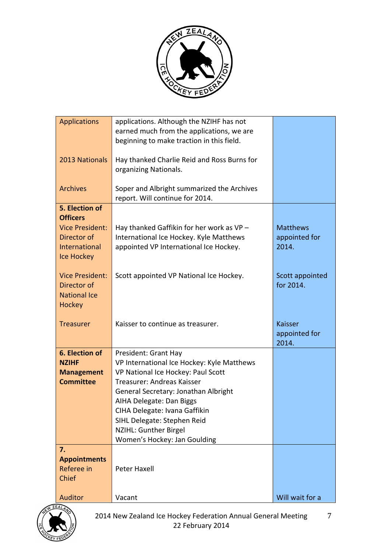

| <b>Applications</b>    | applications. Although the NZIHF has not    |                 |
|------------------------|---------------------------------------------|-----------------|
|                        | earned much from the applications, we are   |                 |
|                        | beginning to make traction in this field.   |                 |
|                        |                                             |                 |
|                        |                                             |                 |
| 2013 Nationals         | Hay thanked Charlie Reid and Ross Burns for |                 |
|                        | organizing Nationals.                       |                 |
|                        |                                             |                 |
| <b>Archives</b>        | Soper and Albright summarized the Archives  |                 |
|                        | report. Will continue for 2014.             |                 |
|                        |                                             |                 |
| 5. Election of         |                                             |                 |
| <b>Officers</b>        |                                             |                 |
| <b>Vice President:</b> | Hay thanked Gaffikin for her work as VP-    | <b>Matthews</b> |
| Director of            | International Ice Hockey. Kyle Matthews     | appointed for   |
| <b>International</b>   | appointed VP International Ice Hockey.      | 2014.           |
|                        |                                             |                 |
| Ice Hockey             |                                             |                 |
|                        |                                             |                 |
| <b>Vice President:</b> | Scott appointed VP National Ice Hockey.     | Scott appointed |
| Director of            |                                             | for 2014.       |
| <b>National Ice</b>    |                                             |                 |
| Hockey                 |                                             |                 |
|                        |                                             |                 |
|                        | Kaisser to continue as treasurer.           | Kaisser         |
| <b>Treasurer</b>       |                                             |                 |
|                        |                                             | appointed for   |
|                        |                                             | 2014.           |
| 6. Election of         | President: Grant Hay                        |                 |
| <b>NZIHF</b>           | VP International Ice Hockey: Kyle Matthews  |                 |
| <b>Management</b>      | VP National Ice Hockey: Paul Scott          |                 |
| <b>Committee</b>       | Treasurer: Andreas Kaisser                  |                 |
|                        |                                             |                 |
|                        | General Secretary: Jonathan Albright        |                 |
|                        | AIHA Delegate: Dan Biggs                    |                 |
|                        | CIHA Delegate: Ivana Gaffikin               |                 |
|                        | SIHL Delegate: Stephen Reid                 |                 |
|                        | NZIHL: Gunther Birgel                       |                 |
|                        | Women's Hockey: Jan Goulding                |                 |
| 7.                     |                                             |                 |
|                        |                                             |                 |
| <b>Appointments</b>    |                                             |                 |
| Referee in             | Peter Haxell                                |                 |
| Chief                  |                                             |                 |
|                        |                                             |                 |
| <b>Auditor</b>         | Vacant                                      | Will wait for a |

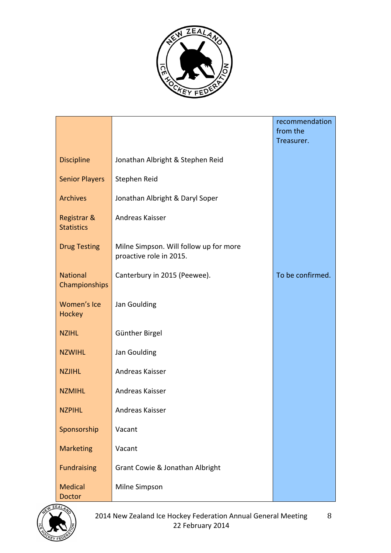

|                                  |                                                                   | recommendation<br>from the<br>Treasurer. |
|----------------------------------|-------------------------------------------------------------------|------------------------------------------|
| <b>Discipline</b>                | Jonathan Albright & Stephen Reid                                  |                                          |
| <b>Senior Players</b>            | Stephen Reid                                                      |                                          |
| <b>Archives</b>                  | Jonathan Albright & Daryl Soper                                   |                                          |
| Registrar &<br><b>Statistics</b> | Andreas Kaisser                                                   |                                          |
| <b>Drug Testing</b>              | Milne Simpson. Will follow up for more<br>proactive role in 2015. |                                          |
| <b>National</b><br>Championships | Canterbury in 2015 (Peewee).                                      | To be confirmed.                         |
| Women's Ice<br><b>Hockey</b>     | Jan Goulding                                                      |                                          |
| <b>NZIHL</b>                     | Günther Birgel                                                    |                                          |
| <b>NZWIHL</b>                    | Jan Goulding                                                      |                                          |
| <b>NZJIHL</b>                    | Andreas Kaisser                                                   |                                          |
| <b>NZMIHL</b>                    | Andreas Kaisser                                                   |                                          |
| <b>NZPIHL</b>                    | Andreas Kaisser                                                   |                                          |
| Sponsorship                      | Vacant                                                            |                                          |
| <b>Marketing</b>                 | Vacant                                                            |                                          |
| <b>Fundraising</b>               | Grant Cowie & Jonathan Albright                                   |                                          |
| <b>Medical</b><br><b>Doctor</b>  | Milne Simpson                                                     |                                          |

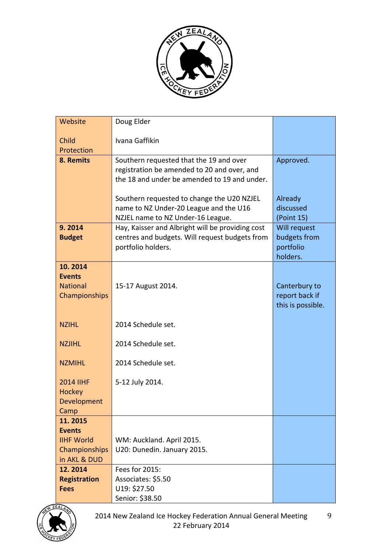

| Website                                                      | Doug Elder                                                                                                                             |                                                       |
|--------------------------------------------------------------|----------------------------------------------------------------------------------------------------------------------------------------|-------------------------------------------------------|
| Child                                                        | Ivana Gaffikin                                                                                                                         |                                                       |
| Protection                                                   |                                                                                                                                        |                                                       |
| 8. Remits                                                    | Southern requested that the 19 and over<br>registration be amended to 20 and over, and<br>the 18 and under be amended to 19 and under. | Approved.                                             |
|                                                              | Southern requested to change the U20 NZJEL<br>name to NZ Under-20 League and the U16                                                   | Already<br>discussed                                  |
|                                                              | NZJEL name to NZ Under-16 League.                                                                                                      | (Point 15)                                            |
| 9.2014<br><b>Budget</b>                                      | Hay, Kaisser and Albright will be providing cost<br>centres and budgets. Will request budgets from<br>portfolio holders.               | Will request<br>budgets from<br>portfolio<br>holders. |
| 10.2014<br><b>Events</b><br><b>National</b><br>Championships | 15-17 August 2014.                                                                                                                     | Canterbury to<br>report back if<br>this is possible.  |
| <b>NZIHL</b>                                                 | 2014 Schedule set.                                                                                                                     |                                                       |
| <b>NZJIHL</b>                                                | 2014 Schedule set.                                                                                                                     |                                                       |
| <b>NZMIHL</b>                                                | 2014 Schedule set.                                                                                                                     |                                                       |
| <b>2014 IIHF</b><br>Hockey<br>Development<br>Camp            | 5-12 July 2014.                                                                                                                        |                                                       |
| 11.2015                                                      |                                                                                                                                        |                                                       |
| <b>Events</b>                                                |                                                                                                                                        |                                                       |
| <b>IIHF World</b>                                            | WM: Auckland. April 2015.                                                                                                              |                                                       |
| Championships<br>in AKL & DUD                                | U20: Dunedin. January 2015.                                                                                                            |                                                       |
| 12.2014                                                      | Fees for 2015:                                                                                                                         |                                                       |
| <b>Registration</b>                                          | Associates: \$5.50                                                                                                                     |                                                       |
| <b>Fees</b>                                                  | U19: \$27.50                                                                                                                           |                                                       |
|                                                              | Senior: \$38.50                                                                                                                        |                                                       |

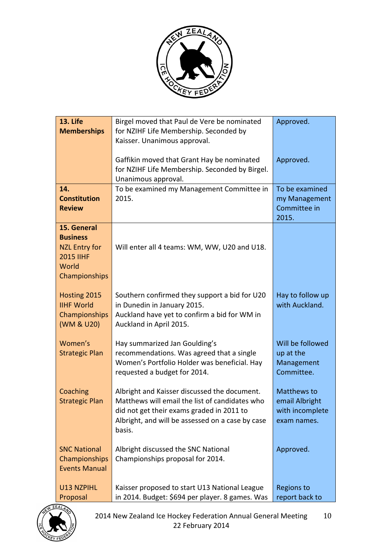

| <b>13. Life</b><br><b>Memberships</b>                                                                | Birgel moved that Paul de Vere be nominated<br>for NZIHF Life Membership. Seconded by                                                                                                                     | Approved.                                                       |
|------------------------------------------------------------------------------------------------------|-----------------------------------------------------------------------------------------------------------------------------------------------------------------------------------------------------------|-----------------------------------------------------------------|
|                                                                                                      | Kaisser. Unanimous approval.<br>Gaffikin moved that Grant Hay be nominated<br>for NZIHF Life Membership. Seconded by Birgel.<br>Unanimous approval.                                                       | Approved.                                                       |
| 14.<br><b>Constitution</b><br><b>Review</b>                                                          | To be examined my Management Committee in<br>2015.                                                                                                                                                        | To be examined<br>my Management<br>Committee in<br>2015.        |
| 15. General<br><b>Business</b><br><b>NZL Entry for</b><br><b>2015 IIHF</b><br>World<br>Championships | Will enter all 4 teams: WM, WW, U20 and U18.                                                                                                                                                              |                                                                 |
| Hosting 2015<br><b>IIHF World</b><br>Championships<br>(WM & U20)                                     | Southern confirmed they support a bid for U20<br>in Dunedin in January 2015.<br>Auckland have yet to confirm a bid for WM in<br>Auckland in April 2015.                                                   | Hay to follow up<br>with Auckland.                              |
| Women's<br><b>Strategic Plan</b>                                                                     | Hay summarized Jan Goulding's<br>recommendations. Was agreed that a single<br>Women's Portfolio Holder was beneficial. Hay<br>requested a budget for 2014.                                                | Will be followed<br>up at the<br>Management<br>Committee.       |
| Coaching<br><b>Strategic Plan</b>                                                                    | Albright and Kaisser discussed the document.<br>Matthews will email the list of candidates who<br>did not get their exams graded in 2011 to<br>Albright, and will be assessed on a case by case<br>basis. | Matthews to<br>email Albright<br>with incomplete<br>exam names. |
| <b>SNC National</b><br>Championships<br><b>Events Manual</b>                                         | Albright discussed the SNC National<br>Championships proposal for 2014.                                                                                                                                   | Approved.                                                       |
| U13 NZPIHL<br>Proposal                                                                               | Kaisser proposed to start U13 National League<br>in 2014. Budget: \$694 per player. 8 games. Was                                                                                                          | <b>Regions to</b><br>report back to                             |